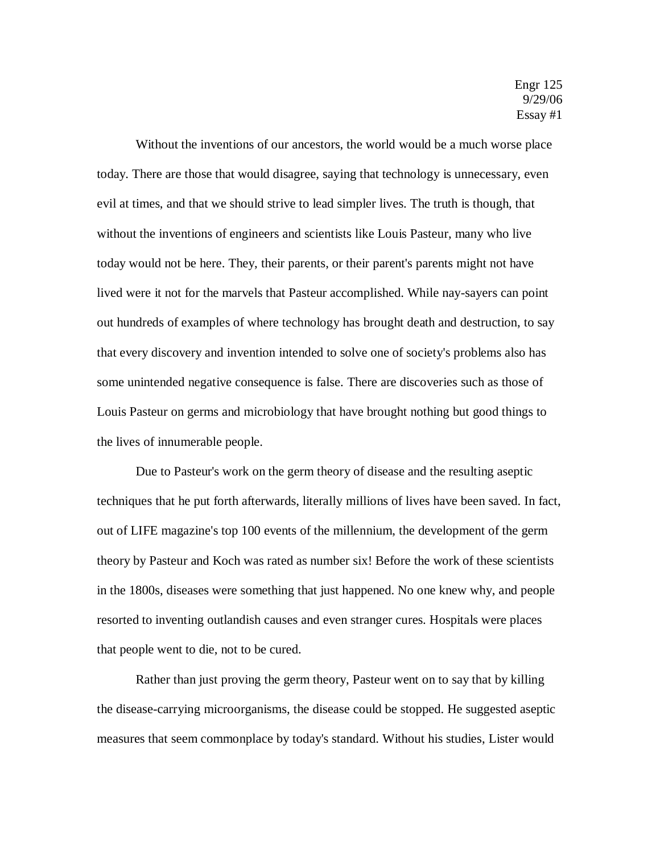Without the inventions of our ancestors, the world would be a much worse place today. There are those that would disagree, saying that technology is unnecessary, even evil at times, and that we should strive to lead simpler lives. The truth is though, that without the inventions of engineers and scientists like Louis Pasteur, many who live today would not be here. They, their parents, or their parent's parents might not have lived were it not for the marvels that Pasteur accomplished. While nay-sayers can point out hundreds of examples of where technology has brought death and destruction, to say that every discovery and invention intended to solve one of society's problems also has some unintended negative consequence is false. There are discoveries such as those of Louis Pasteur on germs and microbiology that have brought nothing but good things to the lives of innumerable people.

Due to Pasteur's work on the germ theory of disease and the resulting aseptic techniques that he put forth afterwards, literally millions of lives have been saved. In fact, out of LIFE magazine's top 100 events of the millennium, the development of the germ theory by Pasteur and Koch was rated as number six! Before the work of these scientists in the 1800s, diseases were something that just happened. No one knew why, and people resorted to inventing outlandish causes and even stranger cures. Hospitals were places that people went to die, not to be cured.

Rather than just proving the germ theory, Pasteur went on to say that by killing the disease-carrying microorganisms, the disease could be stopped. He suggested aseptic measures that seem commonplace by today's standard. Without his studies, Lister would